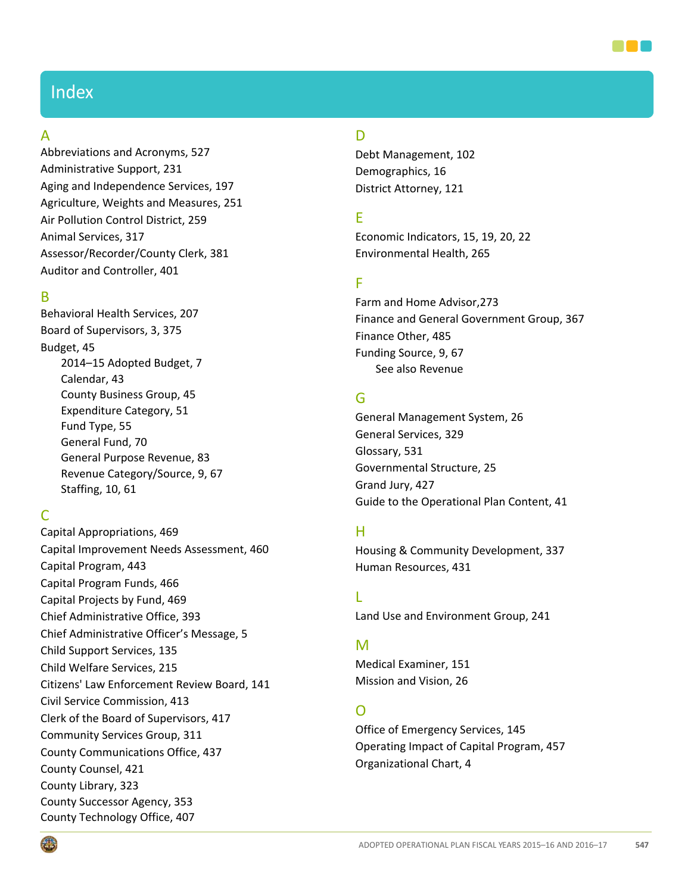

# Index

#### A

Abbreviations and Acronyms, [527](#page--1-0) Administrative Support, [231](#page--1-0) Aging and Independence Services, [197](#page--1-0) Agriculture, Weights and Measures, [251](#page--1-0) Air Pollution Control District, [259](#page--1-0) Animal Services, [317](#page--1-0) Assessor/Recorder/County Clerk, [381](#page--1-0) Auditor and Controller, [401](#page--1-0)

#### B

Behavioral Health Services, [207](#page--1-0) Board of Supervisors, 3, 375 Budget, 45 2014–15 Adopted Budget, [7](#page--1-1) Calendar, 43 County Business Group, 45 Expenditure Category, 51 Fund Type, 55 General Fund, 70 General Purpose Revenue, [83](#page--1-1) Revenue Category/Source, 9, 67 Staffing, 10, 61

## C

Capital Appropriations, 469 Capital Improvement Needs Assessment, 460 Capital Program, 443 Capital Program Funds, 466 Capital Projects by Fund, 469 Chief Administrative Office, [393](#page--1-0) Chief Administrative Officer's Message, 5 Child Support Services, [135](#page--1-0) Child Welfare Services, [215](#page--1-0) Citizens' Law Enforcement Review Board, [141](#page--1-0) Civil Service Commission, [413](#page--1-0) Clerk of the Board of Supervisors, [417](#page--1-0) Community Services Group, [311](#page--1-0) County Communications Office, [437](#page--1-0) County Counsel, [421](#page--1-0) County Library, [323](#page--1-0) County Successor Agency, [353](#page--1-0) County Technology Office, [407](#page--1-0)

## D

Debt Management, 102 Demographics, 16 District Attorney, [121](#page--1-0)

### E

Economic Indicators, 15, 19, 20, 22 Environmental Health, [265](#page--1-0)

#### F

Farm and Home Advisor[,273](#page--1-0) Finance and General Government Group, [367](#page--1-0) Finance Other, 485 Funding Source, 9, 67 See also Revenue

## G

General Management System, 26 General Services, [329](#page--1-0) Glossary, 531 Governmental Structure, 25 Grand Jury, [427](#page--1-0) Guide to the Operational Plan Content, [41](#page--1-1)

#### H

Housing & Community Development, [337](#page--1-0) Human Resources, [431](#page--1-0)

L

Land Use and Environment Group, [241](#page--1-0)

#### M

Medical Examiner, [151](#page--1-0) Mission and Vision, 26

#### O

Office of Emergency Services, [145](#page--1-0) Operating Impact of Capital Program, 457 Organizational Chart, 4